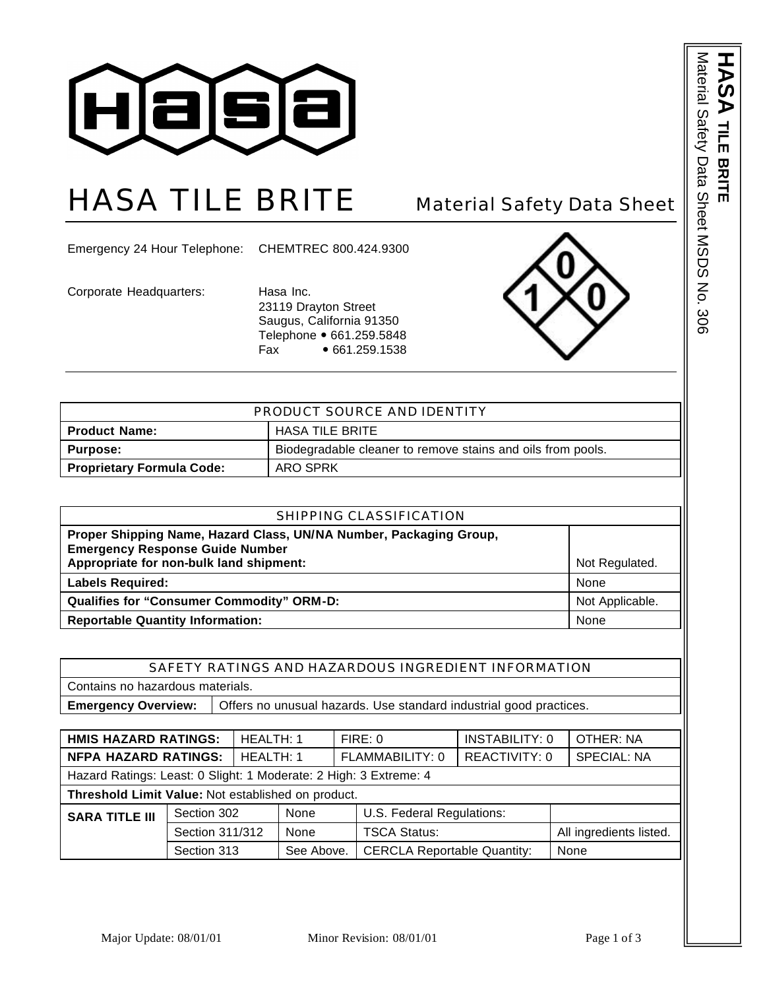

## HASA TILE BRITE Material Safety Data Sheet

Emergency 24 Hour Telephone: CHEMTREC 800.424.9300

Corporate Headquarters: Hasa Inc.

23119 Drayton Street Saugus, California 91350 Telephone • 661.259.5848 Fax • 661.259.1538



| PRODUCT SOURCE AND IDENTITY                    |                                                             |  |
|------------------------------------------------|-------------------------------------------------------------|--|
| <b>HASA TILE BRITE</b><br><b>Product Name:</b> |                                                             |  |
| <b>Purpose:</b>                                | Biodegradable cleaner to remove stains and oils from pools. |  |
| <b>Proprietary Formula Code:</b><br>ARO SPRK   |                                                             |  |

| SHIPPING CLASSIFICATION                                                                                                                                 |                 |  |  |  |
|---------------------------------------------------------------------------------------------------------------------------------------------------------|-----------------|--|--|--|
| Proper Shipping Name, Hazard Class, UN/NA Number, Packaging Group,<br><b>Emergency Response Guide Number</b><br>Appropriate for non-bulk land shipment: | Not Regulated.  |  |  |  |
| <b>Labels Required:</b>                                                                                                                                 | None            |  |  |  |
| <b>Qualifies for "Consumer Commodity" ORM-D:</b>                                                                                                        | Not Applicable. |  |  |  |
| <b>Reportable Quantity Information:</b>                                                                                                                 | None            |  |  |  |

| SAFETY RATINGS AND HAZARDOUS INGREDIENT INFORMATION |                                                                    |                |         |                 |        |
|-----------------------------------------------------|--------------------------------------------------------------------|----------------|---------|-----------------|--------|
| Contains no hazardous materials.                    |                                                                    |                |         |                 |        |
| <b>Emergency Overview:</b>                          | Offers no unusual hazards. Use standard industrial good practices. |                |         |                 |        |
|                                                     |                                                                    |                |         |                 |        |
| $\blacksquare$                                      |                                                                    | $\blacksquare$ | FIDE. O | INIOTADII ITU.A | [0, 1] |

|                                                                   | <b>HMIS HAZARD RATINGS:</b><br>HEALTH: 1 |           |            |                 | FIRE: 0                            | <b>INSTABILITY: 0</b> |  | OTHER: NA               |
|-------------------------------------------------------------------|------------------------------------------|-----------|------------|-----------------|------------------------------------|-----------------------|--|-------------------------|
| <b>NFPA HAZARD RATINGS:</b>                                       |                                          | HEALTH: 1 |            | FLAMMABILITY: 0 |                                    | <b>REACTIVITY: 0</b>  |  | <b>SPECIAL: NA</b>      |
| Hazard Ratings: Least: 0 Slight: 1 Moderate: 2 High: 3 Extreme: 4 |                                          |           |            |                 |                                    |                       |  |                         |
| Threshold Limit Value: Not established on product.                |                                          |           |            |                 |                                    |                       |  |                         |
| <b>SARA TITLE III</b>                                             | Section 302                              |           | None       |                 | U.S. Federal Regulations:          |                       |  |                         |
|                                                                   | Section 311/312                          |           | None       |                 | <b>TSCA Status:</b>                |                       |  | All ingredients listed. |
|                                                                   | Section 313                              |           | See Above. |                 | <b>CERCLA Reportable Quantity:</b> |                       |  | None                    |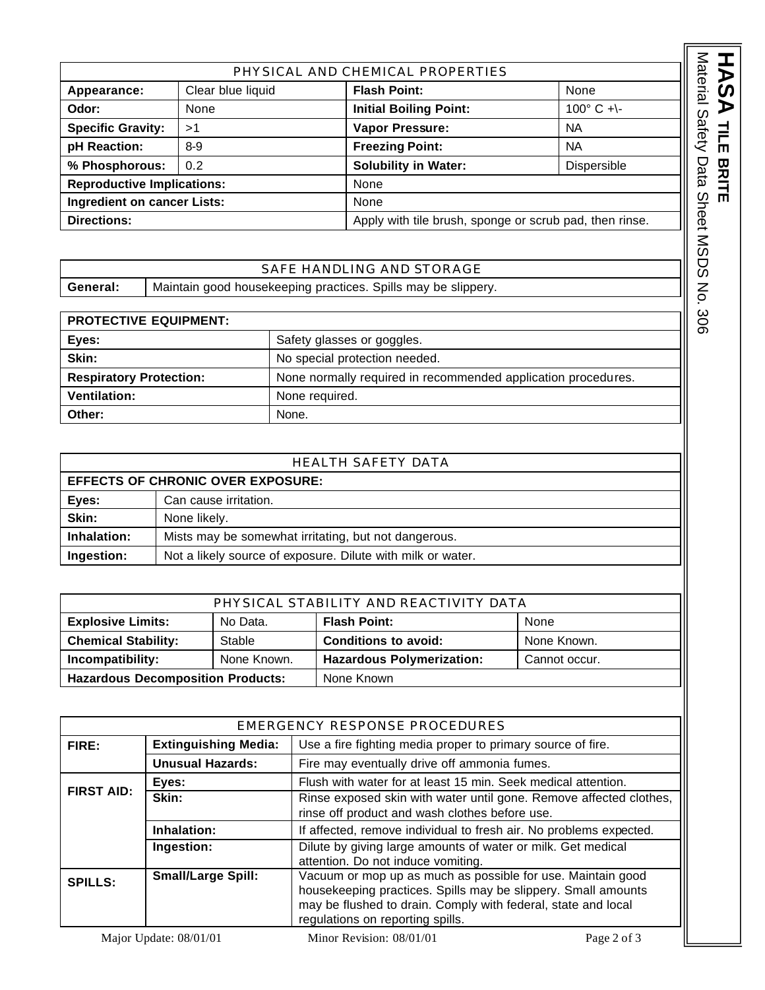|                                                                               |                                                               | PHYSICAL AND CHEMICAL PROPERTIES |                     |
|-------------------------------------------------------------------------------|---------------------------------------------------------------|----------------------------------|---------------------|
| Appearance:                                                                   | Clear blue liquid                                             | <b>Flash Point:</b>              | None                |
| Odor:                                                                         | None                                                          | <b>Initial Boiling Point:</b>    | $100^{\circ}$ C +\- |
| <b>Specific Gravity:</b>                                                      | >1                                                            | Vapor Pressure:                  | <b>NA</b>           |
| pH Reaction:                                                                  | $8 - 9$                                                       | <b>Freezing Point:</b>           | <b>NA</b>           |
| % Phosphorous:                                                                | 0.2                                                           | <b>Solubility in Water:</b>      | Dispersible         |
| <b>Reproductive Implications:</b>                                             |                                                               | None                             |                     |
|                                                                               | Ingredient on cancer Lists:<br>None                           |                                  |                     |
| <b>Directions:</b><br>Apply with tile brush, sponge or scrub pad, then rinse. |                                                               |                                  |                     |
|                                                                               |                                                               |                                  |                     |
|                                                                               |                                                               | SAFE HANDLING AND STORAGE        |                     |
| General:                                                                      | Maintain good housekeeping practices. Spills may be slippery. |                                  |                     |
|                                                                               |                                                               |                                  |                     |
| <b>PROTECTIVE EQUIPMENT:</b>                                                  |                                                               |                                  |                     |
|                                                                               | $\sim$ $\sim$ $\sim$                                          |                                  |                     |

## SAFE HANDLING AND STORAGE General: | Maintain good housekeeping practices. Spills may be slippery.

| <b>PROTECTIVE EQUIPMENT:</b>   |                                                               |
|--------------------------------|---------------------------------------------------------------|
| Eyes:                          | Safety glasses or goggles.                                    |
| Skin:                          | No special protection needed.                                 |
| <b>Respiratory Protection:</b> | None normally required in recommended application procedures. |
| Ventilation:                   | None required.                                                |
| Other:                         | None.                                                         |

| HEALTH SAFETY DATA |  |
|--------------------|--|
|                    |  |

| <b>EFFECTS OF CHRONIC OVER EXPOSURE:</b> |                                                             |  |
|------------------------------------------|-------------------------------------------------------------|--|
| Eyes:                                    | Can cause irritation.                                       |  |
| Skin:                                    | None likely.                                                |  |
| Inhalation:                              | Mists may be somewhat irritating, but not dangerous.        |  |
| Ingestion:                               | Not a likely source of exposure. Dilute with milk or water. |  |

| PHYSICAL STABILITY AND REACTIVITY DATA   |          |                                  |               |  |
|------------------------------------------|----------|----------------------------------|---------------|--|
| <b>Explosive Limits:</b>                 | No Data. | <b>Flash Point:</b>              | None          |  |
| <b>Chemical Stability:</b>               | Stable   | <b>Conditions to avoid:</b>      | None Known.   |  |
| Incompatibility:<br>None Known.          |          | <b>Hazardous Polymerization:</b> | Cannot occur. |  |
| <b>Hazardous Decomposition Products:</b> |          | None Known                       |               |  |

| EMERGENCY RESPONSE PROCEDURES       |                                                                                            |                                                                                                                                                                                                                                   |
|-------------------------------------|--------------------------------------------------------------------------------------------|-----------------------------------------------------------------------------------------------------------------------------------------------------------------------------------------------------------------------------------|
| FIRE:                               | <b>Extinguishing Media:</b><br>Use a fire fighting media proper to primary source of fire. |                                                                                                                                                                                                                                   |
|                                     | <b>Unusual Hazards:</b>                                                                    | Fire may eventually drive off ammonia fumes.                                                                                                                                                                                      |
| Eyes:<br><b>FIRST AID:</b><br>Skin: |                                                                                            | Flush with water for at least 15 min. Seek medical attention.                                                                                                                                                                     |
|                                     |                                                                                            | Rinse exposed skin with water until gone. Remove affected clothes,<br>rinse off product and wash clothes before use.                                                                                                              |
|                                     | Inhalation:<br>If affected, remove individual to fresh air. No problems expected.          |                                                                                                                                                                                                                                   |
|                                     | Ingestion:                                                                                 | Dilute by giving large amounts of water or milk. Get medical<br>attention. Do not induce vomiting.                                                                                                                                |
| <b>SPILLS:</b>                      | <b>Small/Large Spill:</b>                                                                  | Vacuum or mop up as much as possible for use. Maintain good<br>housekeeping practices. Spills may be slippery. Small amounts<br>may be flushed to drain. Comply with federal, state and local<br>regulations on reporting spills. |

HASA TILE BRITE

**TILE BRITE**